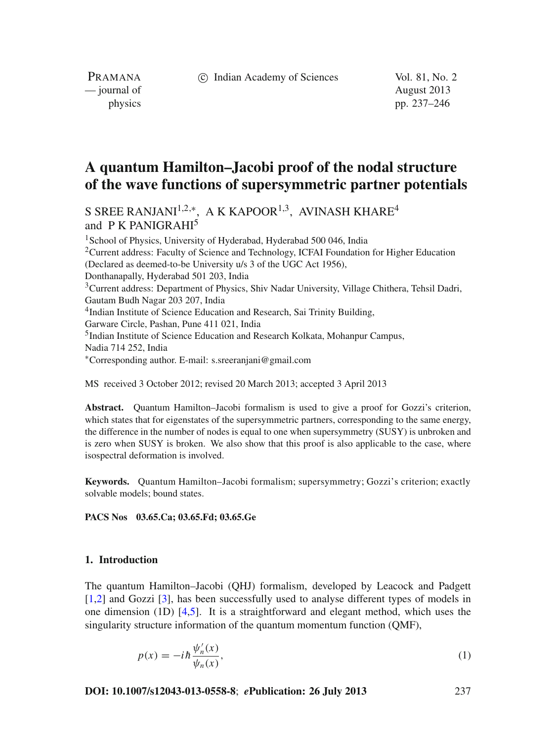c Indian Academy of Sciences Vol. 81, No. 2

PRAMANA — journal of August 2013

physics pp. 237–246

# **A quantum Hamilton–Jacobi proof of the nodal structure of the wave functions of supersymmetric partner potentials**

S SREE RANJANI<sup>1,2,\*</sup>, A K KAPOOR<sup>1,3</sup>, AVINASH KHARE<sup>4</sup> and P K PANIGRAHI<sup>5</sup>

<sup>1</sup> School of Physics, University of Hyderabad, Hyderabad 500 046, India 2Current address: Faculty of Science and Technology, ICFAI Foundation for Higher Education (Declared as deemed-to-be University u/s 3 of the UGC Act 1956), Donthanapally, Hyderabad 501 203, India <sup>3</sup>Current address: Department of Physics, Shiv Nadar University, Village Chithera, Tehsil Dadri, Gautam Budh Nagar 203 207, India 4Indian Institute of Science Education and Research, Sai Trinity Building, Garware Circle, Pashan, Pune 411 021, India 5Indian Institute of Science Education and Research Kolkata, Mohanpur Campus, Nadia 714 252, India <sup>∗</sup>Corresponding author. E-mail: s.sreeranjani@gmail.com

MS received 3 October 2012; revised 20 March 2013; accepted 3 April 2013

**Abstract.** Quantum Hamilton–Jacobi formalism is used to give a proof for Gozzi's criterion, which states that for eigenstates of the supersymmetric partners, corresponding to the same energy, the difference in the number of nodes is equal to one when supersymmetry (SUSY) is unbroken and is zero when SUSY is broken. We also show that this proof is also applicable to the case, where isospectral deformation is involved.

**Keywords.** Quantum Hamilton–Jacobi formalism; supersymmetry; Gozzi's criterion; exactly solvable models; bound states.

# **PACS Nos 03.65.Ca; 03.65.Fd; 03.65.Ge**

## **1. Introduction**

The quantum Hamilton–Jacobi (QHJ) formalism, developed by Leacock and Padgett [\[1](#page-8-0)[,2\]](#page-8-1) and Gozzi [\[3](#page-8-2)], has been successfully used to analyse different types of models in one dimension (1D) [\[4](#page-8-3)[,5](#page-8-4)]. It is a straightforward and elegant method, which uses the singularity structure information of the quantum momentum function (QMF),

$$
p(x) = -i\hbar \frac{\psi_n'(x)}{\psi_n(x)},
$$
\n(1)

**DOI: 10.1007/s12043-013-0558-8**; *e***Publication: 26 July 2013** 237

<span id="page-0-0"></span>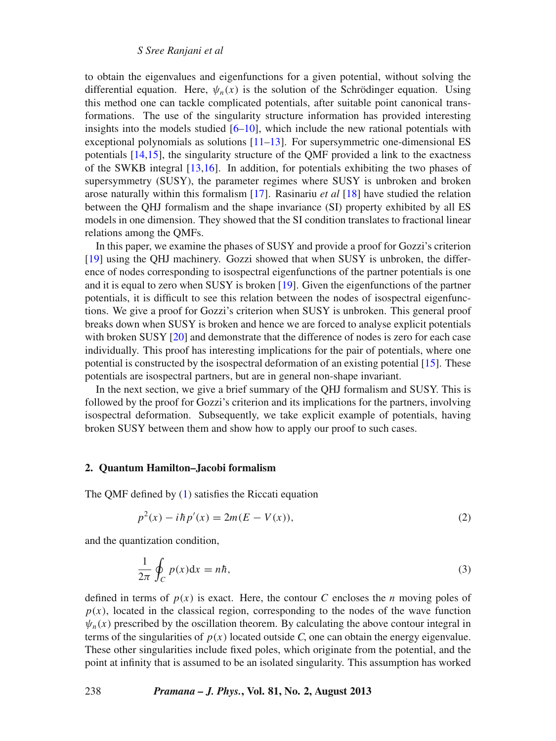*S Sree Ranjani et al*

to obtain the eigenvalues and eigenfunctions for a given potential, without solving the differential equation. Here,  $\psi_n(x)$  is the solution of the Schrödinger equation. Using this method one can tackle complicated potentials, after suitable point canonical transformations. The use of the singularity structure information has provided interesting insights into the models studied  $[6–10]$  $[6–10]$  $[6–10]$ , which include the new rational potentials with exceptional polynomials as solutions [\[11](#page-9-1)[–13](#page-9-2)]. For supersymmetric one-dimensional ES potentials [\[14](#page-9-3)[,15](#page-9-4)], the singularity structure of the QMF provided a link to the exactness of the SWKB integral [\[13](#page-9-2)[,16\]](#page-9-5). In addition, for potentials exhibiting the two phases of supersymmetry (SUSY), the parameter regimes where SUSY is unbroken and broken arose naturally within this formalism [\[17\]](#page-9-6). Rasinariu *et al* [\[18\]](#page-9-7) have studied the relation between the QHJ formalism and the shape invariance (SI) property exhibited by all ES models in one dimension. They showed that the SI condition translates to fractional linear relations among the QMFs.

In this paper, we examine the phases of SUSY and provide a proof for Gozzi's criterion [\[19](#page-9-8)] using the QHJ machinery. Gozzi showed that when SUSY is unbroken, the difference of nodes corresponding to isospectral eigenfunctions of the partner potentials is one and it is equal to zero when SUSY is broken [\[19](#page-9-8)]. Given the eigenfunctions of the partner potentials, it is difficult to see this relation between the nodes of isospectral eigenfunctions. We give a proof for Gozzi's criterion when SUSY is unbroken. This general proof breaks down when SUSY is broken and hence we are forced to analyse explicit potentials with broken SUSY [\[20\]](#page-9-9) and demonstrate that the difference of nodes is zero for each case individually. This proof has interesting implications for the pair of potentials, where one potential is constructed by the isospectral deformation of an existing potential [\[15\]](#page-9-4). These potentials are isospectral partners, but are in general non-shape invariant.

In the next section, we give a brief summary of the QHJ formalism and SUSY. This is followed by the proof for Gozzi's criterion and its implications for the partners, involving isospectral deformation. Subsequently, we take explicit example of potentials, having broken SUSY between them and show how to apply our proof to such cases.

#### **2. Quantum Hamilton–Jacobi formalism**

The QMF defined by [\(1\)](#page-0-0) satisfies the Riccati equation

<span id="page-1-0"></span>
$$
p^{2}(x) - i\hbar p'(x) = 2m(E - V(x)),
$$
\n(2)

and the quantization condition,

$$
\frac{1}{2\pi} \oint_C p(x) dx = n\hbar,
$$
\n(3)

defined in terms of  $p(x)$  is exact. Here, the contour *C* encloses the *n* moving poles of  $p(x)$ , located in the classical region, corresponding to the nodes of the wave function  $\psi_n(x)$  prescribed by the oscillation theorem. By calculating the above contour integral in terms of the singularities of  $p(x)$  located outside *C*, one can obtain the energy eigenvalue. These other singularities include fixed poles, which originate from the potential, and the point at infinity that is assumed to be an isolated singularity. This assumption has worked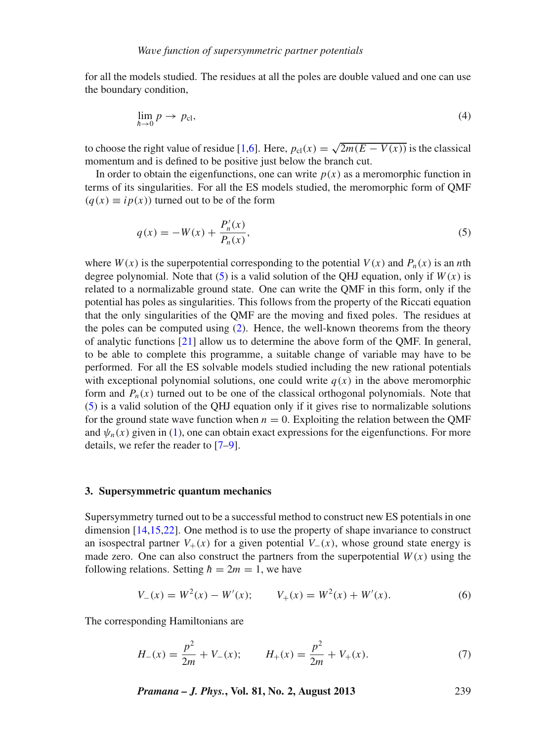for all the models studied. The residues at all the poles are double valued and one can use the boundary condition,

$$
\lim_{h \to 0} p \to p_{\text{cl}},\tag{4}
$$

to choose the right value of residue [\[1](#page-8-0)[,6](#page-8-5)]. Here,  $p_{cl}(x) = \sqrt{2m(E - V(x))}$  is the classical momentum and is defined to be positive just below the branch cut.

In order to obtain the eigenfunctions, one can write  $p(x)$  as a meromorphic function in terms of its singularities. For all the ES models studied, the meromorphic form of QMF  $(q(x) \equiv ip(x))$  turned out to be of the form

<span id="page-2-0"></span>
$$
q(x) = -W(x) + \frac{P'_n(x)}{P_n(x)},
$$
\n(5)

where  $W(x)$  is the superpotential corresponding to the potential  $V(x)$  and  $P_n(x)$  is an *n*th degree polynomial. Note that  $(5)$  is a valid solution of the QHJ equation, only if  $W(x)$  is related to a normalizable ground state. One can write the QMF in this form, only if the potential has poles as singularities. This follows from the property of the Riccati equation that the only singularities of the QMF are the moving and fixed poles. The residues at the poles can be computed using [\(2\)](#page-1-0). Hence, the well-known theorems from the theory of analytic functions [\[21\]](#page-9-10) allow us to determine the above form of the QMF. In general, to be able to complete this programme, a suitable change of variable may have to be performed. For all the ES solvable models studied including the new rational potentials with exceptional polynomial solutions, one could write  $q(x)$  in the above meromorphic form and  $P_n(x)$  turned out to be one of the classical orthogonal polynomials. Note that [\(5\)](#page-2-0) is a valid solution of the QHJ equation only if it gives rise to normalizable solutions for the ground state wave function when  $n = 0$ . Exploiting the relation between the OMF and  $\psi_n(x)$  given in [\(1\)](#page-0-0), one can obtain exact expressions for the eigenfunctions. For more details, we refer the reader to [\[7](#page-8-6)[–9\]](#page-9-11).

#### **3. Supersymmetric quantum mechanics**

Supersymmetry turned out to be a successful method to construct new ES potentials in one dimension [\[14](#page-9-3)[,15](#page-9-4)[,22](#page-9-12)]. One method is to use the property of shape invariance to construct an isospectral partner  $V_+(x)$  for a given potential  $V_-(x)$ , whose ground state energy is made zero. One can also construct the partners from the superpotential  $W(x)$  using the following relations. Setting  $\hbar = 2m = 1$ , we have

$$
V_{-}(x) = W^{2}(x) - W'(x); \qquad V_{+}(x) = W^{2}(x) + W'(x). \tag{6}
$$

The corresponding Hamiltonians are

$$
H_{-}(x) = \frac{p^2}{2m} + V_{-}(x); \qquad H_{+}(x) = \frac{p^2}{2m} + V_{+}(x). \tag{7}
$$

*Pramana – J. Phys.***, Vol. 81, No. 2, August 2013** 239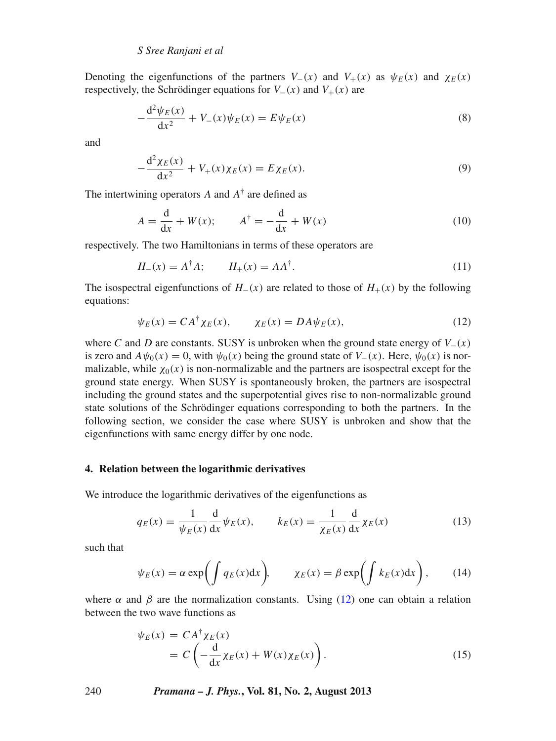Denoting the eigenfunctions of the partners  $V_-(x)$  and  $V_+(x)$  as  $\psi_F(x)$  and  $\chi_F(x)$ respectively, the Schrödinger equations for  $V_-(x)$  and  $V_+(x)$  are

$$
-\frac{d^2\psi_E(x)}{dx^2} + V_-(x)\psi_E(x) = E\psi_E(x)
$$
\n(8)

and

$$
-\frac{d^2\chi_E(x)}{dx^2} + V_+(x)\chi_E(x) = E\chi_E(x).
$$
 (9)

The intertwining operators  $A$  and  $A^{\dagger}$  are defined as

$$
A = \frac{\mathrm{d}}{\mathrm{d}x} + W(x); \qquad A^{\dagger} = -\frac{\mathrm{d}}{\mathrm{d}x} + W(x) \tag{10}
$$

respectively. The two Hamiltonians in terms of these operators are

$$
H_{-}(x) = A^{\dagger} A; \qquad H_{+}(x) = A A^{\dagger}.
$$
 (11)

The isospectral eigenfunctions of  $H_-(x)$  are related to those of  $H_+(x)$  by the following equations:

<span id="page-3-0"></span>
$$
\psi_E(x) = CA^{\dagger} \chi_E(x), \qquad \chi_E(x) = DA \psi_E(x), \tag{12}
$$

where *C* and *D* are constants. SUSY is unbroken when the ground state energy of  $V_-(x)$ is zero and  $A\psi_0(x) = 0$ , with  $\psi_0(x)$  being the ground state of  $V_-(x)$ . Here,  $\psi_0(x)$  is normalizable, while  $\chi_0(x)$  is non-normalizable and the partners are isospectral except for the ground state energy. When SUSY is spontaneously broken, the partners are isospectral including the ground states and the superpotential gives rise to non-normalizable ground state solutions of the Schrödinger equations corresponding to both the partners. In the following section, we consider the case where SUSY is unbroken and show that the eigenfunctions with same energy differ by one node.

# **4. Relation between the logarithmic derivatives**

We introduce the logarithmic derivatives of the eigenfunctions as

<span id="page-3-1"></span>
$$
q_E(x) = \frac{1}{\psi_E(x)} \frac{d}{dx} \psi_E(x), \qquad k_E(x) = \frac{1}{\chi_E(x)} \frac{d}{dx} \chi_E(x) \tag{13}
$$

such that

$$
\psi_E(x) = \alpha \exp\left(\int q_E(x) dx\right), \qquad \chi_E(x) = \beta \exp\left(\int k_E(x) dx\right), \tag{14}
$$

where  $\alpha$  and  $\beta$  are the normalization constants. Using [\(12\)](#page-3-0) one can obtain a relation between the two wave functions as

$$
\psi_E(x) = CA^{\dagger} \chi_E(x) \n= C \left( -\frac{d}{dx} \chi_E(x) + W(x) \chi_E(x) \right).
$$
\n(15)

240 *Pramana – J. Phys.***, Vol. 81, No. 2, August 2013**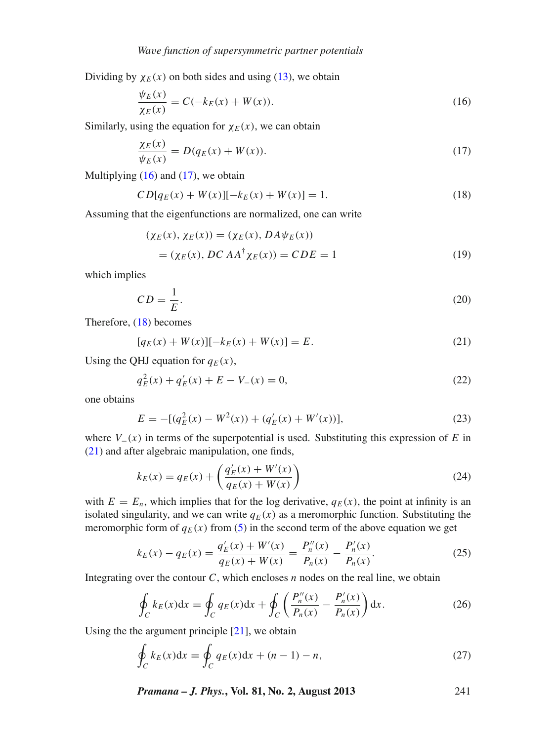Dividing by  $\chi_E(x)$  on both sides and using [\(13\)](#page-3-1), we obtain

<span id="page-4-0"></span>
$$
\frac{\psi_E(x)}{\chi_E(x)} = C(-k_E(x) + W(x)).
$$
\n(16)

Similarly, using the equation for  $\chi_E(x)$ , we can obtain

<span id="page-4-1"></span>
$$
\frac{\chi_E(x)}{\psi_E(x)} = D(q_E(x) + W(x)).\tag{17}
$$

Multiplying  $(16)$  and  $(17)$ , we obtain

<span id="page-4-2"></span>
$$
CD[q_E(x) + W(x)][-k_E(x) + W(x)] = 1.
$$
\n(18)

Assuming that the eigenfunctions are normalized, one can write

$$
(\chi_E(x), \chi_E(x)) = (\chi_E(x), DA\psi_E(x))
$$
  
= (\chi\_E(x), DC AA<sup>†</sup> \chi\_E(x)) = CDE = 1 (19)

which implies

$$
CD = \frac{1}{E}.\tag{20}
$$

Therefore, [\(18\)](#page-4-2) becomes

<span id="page-4-3"></span>
$$
[q_E(x) + W(x)][-k_E(x) + W(x)] = E.
$$
\n(21)

Using the QHJ equation for  $q_E(x)$ ,

$$
q_E^2(x) + q'_E(x) + E - V_-(x) = 0,
$$
\n(22)

one obtains

$$
E = -[(q_E^2(x) - W^2(x)) + (q_E'(x) + W'(x))],
$$
\n(23)

where  $V_-(x)$  in terms of the superpotential is used. Substituting this expression of *E* in [\(21\)](#page-4-3) and after algebraic manipulation, one finds,

$$
k_E(x) = q_E(x) + \left(\frac{q'_E(x) + W'(x)}{q_E(x) + W(x)}\right)
$$
\n(24)

with  $E = E_n$ , which implies that for the log derivative,  $q_E(x)$ , the point at infinity is an isolated singularity, and we can write  $q_E(x)$  as a meromorphic function. Substituting the meromorphic form of  $q_E(x)$  from [\(5\)](#page-2-0) in the second term of the above equation we get

$$
k_E(x) - q_E(x) = \frac{q'_E(x) + W'(x)}{q_E(x) + W(x)} = \frac{P''_n(x)}{P_n(x)} - \frac{P'_n(x)}{P_n(x)}.
$$
\n(25)

Integrating over the contour  $C$ , which encloses  $n$  nodes on the real line, we obtain

$$
\oint_C k_E(x)dx = \oint_C q_E(x)dx + \oint_C \left(\frac{P_n''(x)}{P_n(x)} - \frac{P_n'(x)}{P_n(x)}\right)dx.
$$
\n(26)

Using the the argument principle [\[21\]](#page-9-10), we obtain

$$
\oint_C k_E(x)dx = \oint_C q_E(x)dx + (n-1) - n,\tag{27}
$$

*Pramana – J. Phys.***, Vol. 81, No. 2, August 2013** 241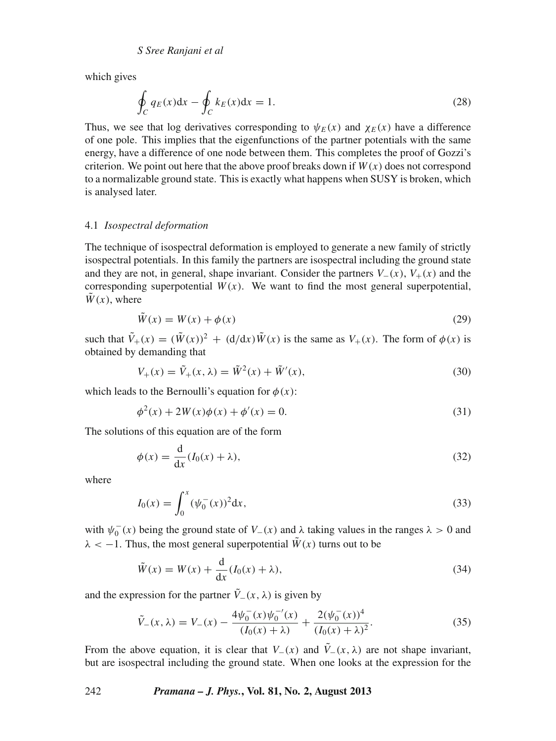which gives

$$
\oint_C q_E(x)dx - \oint_C k_E(x)dx = 1.
$$
\n(28)

Thus, we see that log derivatives corresponding to  $\psi_F(x)$  and  $\chi_F(x)$  have a difference of one pole. This implies that the eigenfunctions of the partner potentials with the same energy, have a difference of one node between them. This completes the proof of Gozzi's criterion. We point out here that the above proof breaks down if  $W(x)$  does not correspond to a normalizable ground state. This is exactly what happens when SUSY is broken, which is analysed later.

# 4.1 *Isospectral deformation*

The technique of isospectral deformation is employed to generate a new family of strictly isospectral potentials. In this family the partners are isospectral including the ground state and they are not, in general, shape invariant. Consider the partners  $V_-(x)$ ,  $V_+(x)$  and the corresponding superpotential  $W(x)$ . We want to find the most general superpotential,  $\tilde{W}(x)$ , where

$$
\tilde{W}(x) = W(x) + \phi(x) \tag{29}
$$

such that  $\tilde{V}_+(x) = (\tilde{W}(x))^2 + (d/dx)\tilde{W}(x)$  is the same as  $V_+(x)$ . The form of  $\phi(x)$  is obtained by demanding that

$$
V_{+}(x) = \tilde{V}_{+}(x,\lambda) = \tilde{W}^{2}(x) + \tilde{W}'(x),
$$
\n(30)

which leads to the Bernoulli's equation for  $\phi(x)$ :

$$
\phi^{2}(x) + 2W(x)\phi(x) + \phi'(x) = 0.
$$
\n(31)

The solutions of this equation are of the form

$$
\phi(x) = \frac{d}{dx}(I_0(x) + \lambda),\tag{32}
$$

where

$$
I_0(x) = \int_0^x (\psi_0^-(x))^2 dx,
$$
\n(33)

with  $\psi_0^-(x)$  being the ground state of  $V_-(x)$  and  $\lambda$  taking values in the ranges  $\lambda > 0$  and  $\lambda < -1$ . Thus, the most general superpotential  $\tilde{W}(x)$  turns out to be

$$
\tilde{W}(x) = W(x) + \frac{d}{dx}(I_0(x) + \lambda),\tag{34}
$$

and the expression for the partner  $\tilde{V}_-(x,\lambda)$  is given by

$$
\tilde{V}_{-}(x,\lambda) = V_{-}(x) - \frac{4\psi_0^-(x)\psi_0^{-(x)}}{(I_0(x)+\lambda)} + \frac{2(\psi_0^-(x))^4}{(I_0(x)+\lambda)^2}.
$$
\n(35)

From the above equation, it is clear that  $V_-(x)$  and  $\tilde{V}_-(x,\lambda)$  are not shape invariant, but are isospectral including the ground state. When one looks at the expression for the

## 242 *Pramana – J. Phys.***, Vol. 81, No. 2, August 2013**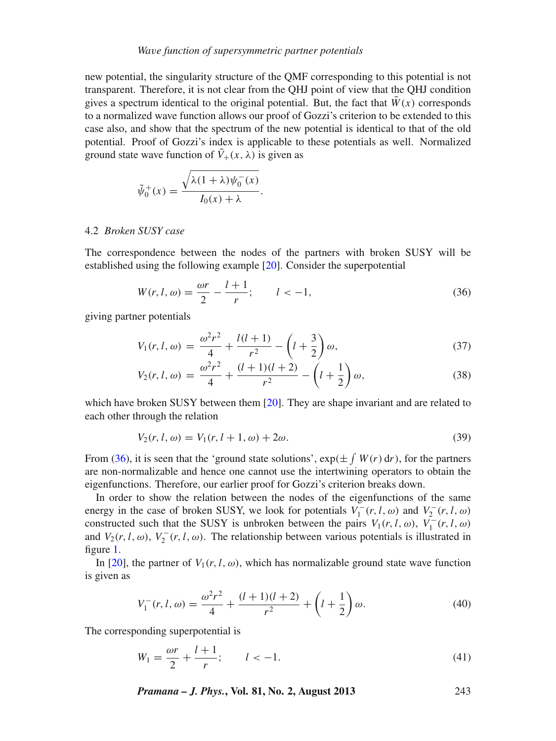## *Wa*v*e function of supersymmetric partner potentials*

new potential, the singularity structure of the QMF corresponding to this potential is not transparent. Therefore, it is not clear from the QHJ point of view that the QHJ condition gives a spectrum identical to the original potential. But, the fact that  $\tilde{W}(x)$  corresponds to a normalized wave function allows our proof of Gozzi's criterion to be extended to this case also, and show that the spectrum of the new potential is identical to that of the old potential. Proof of Gozzi's index is applicable to these potentials as well. Normalized ground state wave function of  $\tilde{V}_+(x,\lambda)$  is given as

$$
\tilde{\psi}_0^+(x) = \frac{\sqrt{\lambda(1+\lambda)\psi_0^-(x)}}{I_0(x)+\lambda}.
$$

## 4.2 *Broken SUSY case*

The correspondence between the nodes of the partners with broken SUSY will be established using the following example [\[20\]](#page-9-9). Consider the superpotential

<span id="page-6-0"></span>
$$
W(r, l, \omega) = \frac{\omega r}{2} - \frac{l+1}{r}; \qquad l < -1,
$$
 (36)

giving partner potentials

$$
V_1(r, l, \omega) = \frac{\omega^2 r^2}{4} + \frac{l(l+1)}{r^2} - \left(l + \frac{3}{2}\right)\omega,\tag{37}
$$

$$
V_2(r, l, \omega) = \frac{\omega^2 r^2}{4} + \frac{(l+1)(l+2)}{r^2} - \left(l + \frac{1}{2}\right)\omega,
$$
\n(38)

which have broken SUSY between them [\[20\]](#page-9-9). They are shape invariant and are related to each other through the relation

$$
V_2(r, l, \omega) = V_1(r, l+1, \omega) + 2\omega.
$$
\n(39)

From [\(36\)](#page-6-0), it is seen that the 'ground state solutions',  $\exp(\pm \int W(r) dr)$ , for the partners are non-normalizable and hence one cannot use the intertwining operators to obtain the eigenfunctions. Therefore, our earlier proof for Gozzi's criterion breaks down.

In order to show the relation between the nodes of the eigenfunctions of the same energy in the case of broken SUSY, we look for potentials  $V_1^-(r, l, \omega)$  and  $V_2^-(r, l, \omega)$ constructed such that the SUSY is unbroken between the pairs  $V_1(r, l, \omega)$ ,  $V_1^-(r, l, \omega)$ and  $V_2(r, l, \omega)$ ,  $V_2^-(r, l, \omega)$ . The relationship between various potentials is illustrated in figure [1.](#page-7-0)

In [\[20](#page-9-9)], the partner of  $V_1(r, l, \omega)$ , which has normalizable ground state wave function is given as

$$
V_1^-(r,l,\omega) = \frac{\omega^2 r^2}{4} + \frac{(l+1)(l+2)}{r^2} + \left(l + \frac{1}{2}\right)\omega.
$$
 (40)

The corresponding superpotential is

$$
W_1 = \frac{\omega r}{2} + \frac{l+1}{r}; \qquad l < -1. \tag{41}
$$

*Pramana – J. Phys.***, Vol. 81, No. 2, August 2013** 243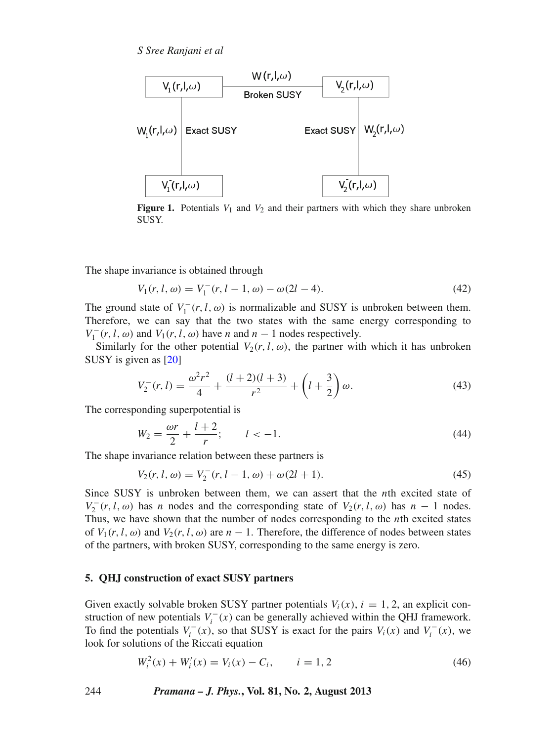*S Sree Ranjani et al*

<span id="page-7-0"></span>

**Figure 1.** Potentials  $V_1$  and  $V_2$  and their partners with which they share unbroken SUSY.

The shape invariance is obtained through

$$
V_1(r, l, \omega) = V_1^-(r, l - 1, \omega) - \omega(2l - 4).
$$
 (42)

The ground state of  $V_1^-(r, l, \omega)$  is normalizable and SUSY is unbroken between them. Therefore, we can say that the two states with the same energy corresponding to *V*<sub>1</sub><sup>-</sup>(*r*,*l*, ω) and *V*<sub>1</sub>(*r*, *l*, ω) have *n* and *n* − 1 nodes respectively.

Similarly for the other potential  $V_2(r, l, \omega)$ , the partner with which it has unbroken SUSY is given as [\[20](#page-9-9)]

$$
V_2^-(r,l) = \frac{\omega^2 r^2}{4} + \frac{(l+2)(l+3)}{r^2} + \left(l + \frac{3}{2}\right)\omega.
$$
 (43)

The corresponding superpotential is

$$
W_2 = \frac{\omega r}{2} + \frac{l+2}{r}; \qquad l < -1. \tag{44}
$$

The shape invariance relation between these partners is

$$
V_2(r, l, \omega) = V_2^-(r, l - 1, \omega) + \omega(2l + 1).
$$
 (45)

Since SUSY is unbroken between them, we can assert that the *n*th excited state of  $V_2^-(r, l, \omega)$  has *n* nodes and the corresponding state of  $V_2(r, l, \omega)$  has  $n - 1$  nodes. Thus, we have shown that the number of nodes corresponding to the *n*th excited states of  $V_1(r, l, \omega)$  and  $V_2(r, l, \omega)$  are  $n - 1$ . Therefore, the difference of nodes between states of the partners, with broken SUSY, corresponding to the same energy is zero.

# **5. QHJ construction of exact SUSY partners**

Given exactly solvable broken SUSY partner potentials  $V_i(x)$ ,  $i = 1, 2$ , an explicit construction of new potentials  $V_i^-(x)$  can be generally achieved within the QHJ framework. To find the potentials  $V_i^-(x)$ , so that SUSY is exact for the pairs  $V_i(x)$  and  $V_i^-(x)$ , we look for solutions of the Riccati equation

<span id="page-7-1"></span>
$$
W_i^2(x) + W_i'(x) = V_i(x) - C_i, \qquad i = 1, 2
$$
\n(46)

244 *Pramana – J. Phys.***, Vol. 81, No. 2, August 2013**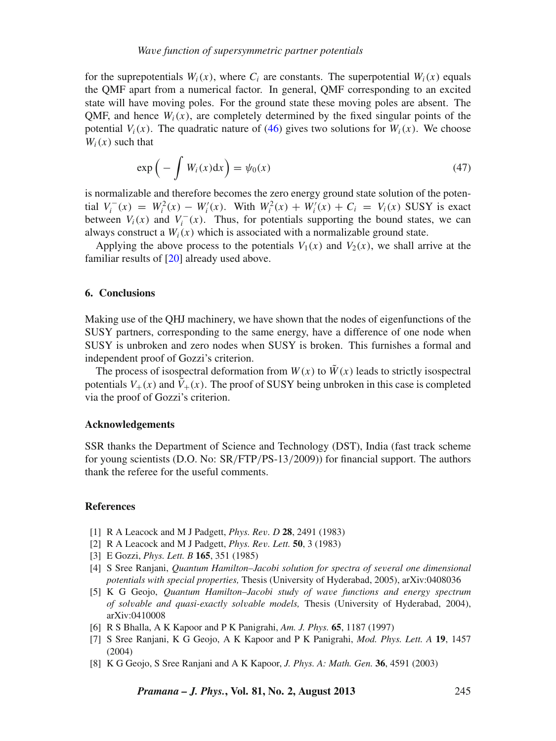for the suprepotentials  $W_i(x)$ , where  $C_i$  are constants. The superpotential  $W_i(x)$  equals the QMF apart from a numerical factor. In general, QMF corresponding to an excited state will have moving poles. For the ground state these moving poles are absent. The OMF, and hence  $W_i(x)$ , are completely determined by the fixed singular points of the potential  $V_i(x)$ . The quadratic nature of [\(46\)](#page-7-1) gives two solutions for  $W_i(x)$ . We choose  $W_i(x)$  such that

$$
\exp\left(-\int W_i(x)dx\right) = \psi_0(x) \tag{47}
$$

is normalizable and therefore becomes the zero energy ground state solution of the poten- $V_i^-(x) = W_i^2(x) - W_i'(x)$ . With  $W_i^2(x) + W_i'(x) + C_i = V_i(x)$  SUSY is exact between  $V_i(x)$  and  $V_i^-(x)$ . Thus, for potentials supporting the bound states, we can always construct a  $W_i(x)$  which is associated with a normalizable ground state.

Applying the above process to the potentials  $V_1(x)$  and  $V_2(x)$ , we shall arrive at the familiar results of [\[20](#page-9-9)] already used above.

# **6. Conclusions**

Making use of the QHJ machinery, we have shown that the nodes of eigenfunctions of the SUSY partners, corresponding to the same energy, have a difference of one node when SUSY is unbroken and zero nodes when SUSY is broken. This furnishes a formal and independent proof of Gozzi's criterion.

The process of isospectral deformation from  $W(x)$  to  $\tilde{W}(x)$  leads to strictly isospectral potentials  $V_+(x)$  and  $\tilde{V}_+(x)$ . The proof of SUSY being unbroken in this case is completed via the proof of Gozzi's criterion.

#### **Acknowledgements**

SSR thanks the Department of Science and Technology (DST), India (fast track scheme for young scientists (D.O. No: SR/FTP/PS-13/2009)) for financial support. The authors thank the referee for the useful comments.

#### **References**

- <span id="page-8-0"></span>[1] R A Leacock and M J Padgett, *Phys. Re*v*. D* **28**, 2491 (1983)
- <span id="page-8-1"></span>[2] R A Leacock and M J Padgett, *Phys. Re*v*. Lett.* **50**, 3 (1983)
- <span id="page-8-2"></span>[3] E Gozzi, *Phys. Lett. B* **165**, 351 (1985)
- <span id="page-8-3"></span>[4] S Sree Ranjani, *Quantum Hamilton–Jacobi solution for spectra of se*v*eral one dimensional potentials with special properties,* Thesis (University of Hyderabad, 2005), arXiv:0408036
- <span id="page-8-4"></span>[5] K G Geojo, *Quantum Hamilton–Jacobi study of wa*v*e functions and energy spectrum of sol*v*able and quasi-exactly sol*v*able models,* Thesis (University of Hyderabad, 2004), arXiv:0410008
- <span id="page-8-5"></span>[6] R S Bhalla, A K Kapoor and P K Panigrahi, *Am. J. Phys.* **65**, 1187 (1997)
- <span id="page-8-6"></span>[7] S Sree Ranjani, K G Geojo, A K Kapoor and P K Panigrahi, *Mod. Phys. Lett. A* **19**, 1457 (2004)
- [8] K G Geojo, S Sree Ranjani and A K Kapoor, *J. Phys. A: Math. Gen.* **36**, 4591 (2003)